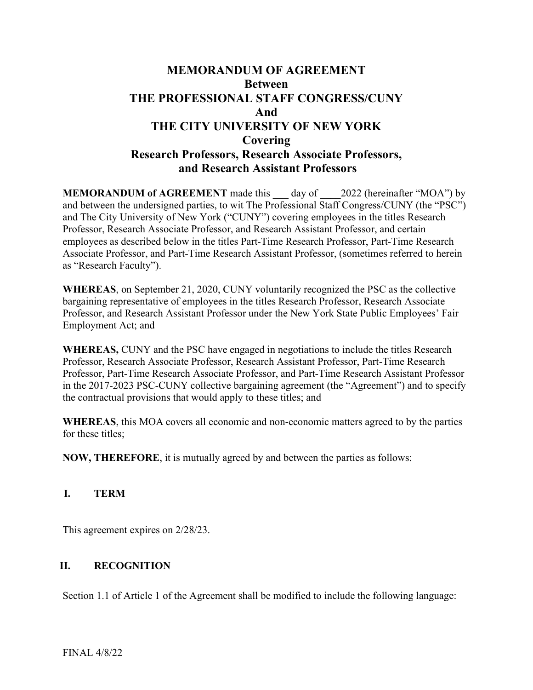# MEMORANDUM OF AGREEMENT Between THE PROFESSIONAL STAFF CONGRESS/CUNY And THE CITY UNIVERSITY OF NEW YORK Covering Research Professors, Research Associate Professors, and Research Assistant Professors

**MEMORANDUM of AGREEMENT** made this day of 2022 (hereinafter "MOA") by and between the undersigned parties, to wit The Professional Staff Congress/CUNY (the "PSC") and The City University of New York ("CUNY") covering employees in the titles Research Professor, Research Associate Professor, and Research Assistant Professor, and certain employees as described below in the titles Part-Time Research Professor, Part-Time Research Associate Professor, and Part-Time Research Assistant Professor, (sometimes referred to herein as "Research Faculty").

WHEREAS, on September 21, 2020, CUNY voluntarily recognized the PSC as the collective bargaining representative of employees in the titles Research Professor, Research Associate Professor, and Research Assistant Professor under the New York State Public Employees' Fair Employment Act; and

WHEREAS, CUNY and the PSC have engaged in negotiations to include the titles Research Professor, Research Associate Professor, Research Assistant Professor, Part-Time Research Professor, Part-Time Research Associate Professor, and Part-Time Research Assistant Professor in the 2017-2023 PSC-CUNY collective bargaining agreement (the "Agreement") and to specify the contractual provisions that would apply to these titles; and

WHEREAS, this MOA covers all economic and non-economic matters agreed to by the parties for these titles;

NOW, THEREFORE, it is mutually agreed by and between the parties as follows:

# I. TERM

This agreement expires on 2/28/23.

# II. RECOGNITION

Section 1.1 of Article 1 of the Agreement shall be modified to include the following language: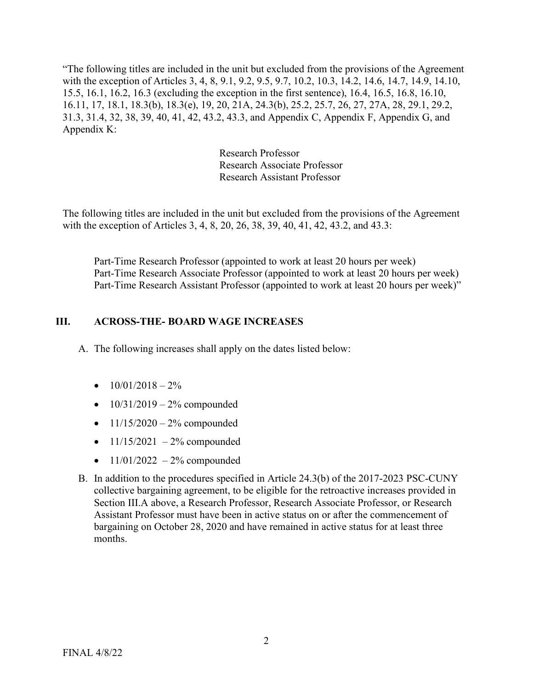"The following titles are included in the unit but excluded from the provisions of the Agreement with the exception of Articles 3, 4, 8, 9.1, 9.2, 9.5, 9.7, 10.2, 10.3, 14.2, 14.6, 14.7, 14.9, 14.10, 15.5, 16.1, 16.2, 16.3 (excluding the exception in the first sentence), 16.4, 16.5, 16.8, 16.10, 16.11, 17, 18.1, 18.3(b), 18.3(e), 19, 20, 21A, 24.3(b), 25.2, 25.7, 26, 27, 27A, 28, 29.1, 29.2, 31.3, 31.4, 32, 38, 39, 40, 41, 42, 43.2, 43.3, and Appendix C, Appendix F, Appendix G, and Appendix K:

> Research Professor Research Associate Professor Research Assistant Professor

The following titles are included in the unit but excluded from the provisions of the Agreement with the exception of Articles 3, 4, 8, 20, 26, 38, 39, 40, 41, 42, 43.2, and 43.3:

Part-Time Research Professor (appointed to work at least 20 hours per week) Part-Time Research Associate Professor (appointed to work at least 20 hours per week) Part-Time Research Assistant Professor (appointed to work at least 20 hours per week)"

### III. ACROSS-THE- BOARD WAGE INCREASES

A. The following increases shall apply on the dates listed below:

- $\bullet$  10/01/2018 2%
- $10/31/2019 2%$  compounded
- $11/15/2020 2%$  compounded
- $11/15/2021 2%$  compounded
- $11/01/2022 2%$  compounded
- B. In addition to the procedures specified in Article 24.3(b) of the 2017-2023 PSC-CUNY collective bargaining agreement, to be eligible for the retroactive increases provided in Section III.A above, a Research Professor, Research Associate Professor, or Research Assistant Professor must have been in active status on or after the commencement of bargaining on October 28, 2020 and have remained in active status for at least three months.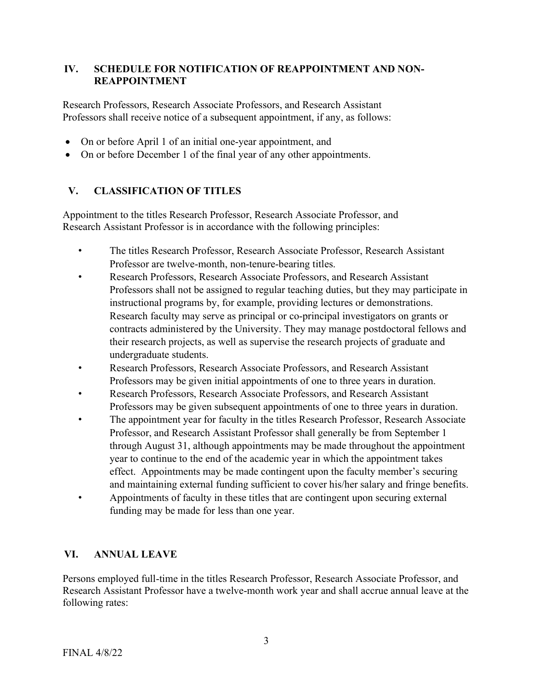### IV. SCHEDULE FOR NOTIFICATION OF REAPPOINTMENT AND NON-REAPPOINTMENT

Research Professors, Research Associate Professors, and Research Assistant Professors shall receive notice of a subsequent appointment, if any, as follows:

- On or before April 1 of an initial one-year appointment, and
- On or before December 1 of the final year of any other appointments.

# V. CLASSIFICATION OF TITLES

Appointment to the titles Research Professor, Research Associate Professor, and Research Assistant Professor is in accordance with the following principles:

- The titles Research Professor, Research Associate Professor, Research Assistant Professor are twelve-month, non-tenure-bearing titles.
- Research Professors, Research Associate Professors, and Research Assistant Professors shall not be assigned to regular teaching duties, but they may participate in instructional programs by, for example, providing lectures or demonstrations. Research faculty may serve as principal or co-principal investigators on grants or contracts administered by the University. They may manage postdoctoral fellows and their research projects, as well as supervise the research projects of graduate and undergraduate students.
- Research Professors, Research Associate Professors, and Research Assistant Professors may be given initial appointments of one to three years in duration.
- Research Professors, Research Associate Professors, and Research Assistant Professors may be given subsequent appointments of one to three years in duration.
- The appointment year for faculty in the titles Research Professor, Research Associate Professor, and Research Assistant Professor shall generally be from September 1 through August 31, although appointments may be made throughout the appointment year to continue to the end of the academic year in which the appointment takes effect. Appointments may be made contingent upon the faculty member's securing and maintaining external funding sufficient to cover his/her salary and fringe benefits.
- Appointments of faculty in these titles that are contingent upon securing external funding may be made for less than one year.

# VI. ANNUAL LEAVE

Persons employed full-time in the titles Research Professor, Research Associate Professor, and Research Assistant Professor have a twelve-month work year and shall accrue annual leave at the following rates: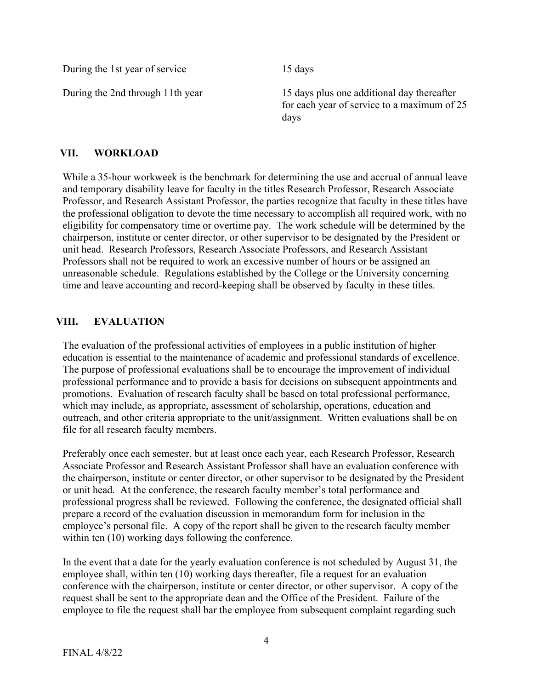During the 1st year of service 15 days

During the 2nd through 11th year 15 days plus one additional day thereafter for each year of service to a maximum of 25 days

# VII. WORKLOAD

While a 35-hour workweek is the benchmark for determining the use and accrual of annual leave and temporary disability leave for faculty in the titles Research Professor, Research Associate Professor, and Research Assistant Professor, the parties recognize that faculty in these titles have the professional obligation to devote the time necessary to accomplish all required work, with no eligibility for compensatory time or overtime pay. The work schedule will be determined by the chairperson, institute or center director, or other supervisor to be designated by the President or unit head. Research Professors, Research Associate Professors, and Research Assistant Professors shall not be required to work an excessive number of hours or be assigned an unreasonable schedule. Regulations established by the College or the University concerning time and leave accounting and record-keeping shall be observed by faculty in these titles.

# VIII. EVALUATION

The evaluation of the professional activities of employees in a public institution of higher education is essential to the maintenance of academic and professional standards of excellence. The purpose of professional evaluations shall be to encourage the improvement of individual professional performance and to provide a basis for decisions on subsequent appointments and promotions. Evaluation of research faculty shall be based on total professional performance, which may include, as appropriate, assessment of scholarship, operations, education and outreach, and other criteria appropriate to the unit/assignment. Written evaluations shall be on file for all research faculty members.

Preferably once each semester, but at least once each year, each Research Professor, Research Associate Professor and Research Assistant Professor shall have an evaluation conference with the chairperson, institute or center director, or other supervisor to be designated by the President or unit head. At the conference, the research faculty member's total performance and professional progress shall be reviewed. Following the conference, the designated official shall prepare a record of the evaluation discussion in memorandum form for inclusion in the employee's personal file. A copy of the report shall be given to the research faculty member within ten (10) working days following the conference.

In the event that a date for the yearly evaluation conference is not scheduled by August 31, the employee shall, within ten (10) working days thereafter, file a request for an evaluation conference with the chairperson, institute or center director, or other supervisor. A copy of the request shall be sent to the appropriate dean and the Office of the President. Failure of the employee to file the request shall bar the employee from subsequent complaint regarding such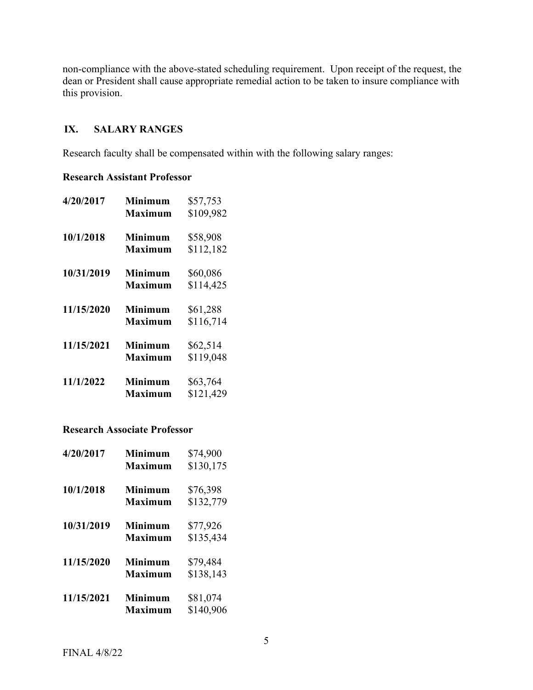non-compliance with the above-stated scheduling requirement. Upon receipt of the request, the dean or President shall cause appropriate remedial action to be taken to insure compliance with this provision.

# IX. SALARY RANGES

Research faculty shall be compensated within with the following salary ranges:

#### Research Assistant Professor

| 4/20/2017  | <b>Minimum</b><br><b>Maximum</b> | \$57,753<br>\$109,982 |
|------------|----------------------------------|-----------------------|
| 10/1/2018  | <b>Minimum</b><br><b>Maximum</b> | \$58,908<br>\$112,182 |
| 10/31/2019 | <b>Minimum</b><br><b>Maximum</b> | \$60,086<br>\$114,425 |
| 11/15/2020 | <b>Minimum</b><br>Maximum        | \$61,288<br>\$116,714 |
| 11/15/2021 | <b>Minimum</b><br>Maximum        | \$62,514<br>\$119,048 |
| 11/1/2022  | <b>Minimum</b><br>Maximum        | \$63,764<br>\$121,429 |

### Research Associate Professor

| 4/20/2017  | Minimum<br><b>Maximum</b>        | \$74,900<br>\$130,175 |
|------------|----------------------------------|-----------------------|
| 10/1/2018  | <b>Minimum</b><br>Maximum        | \$76,398<br>\$132,779 |
| 10/31/2019 | <b>Minimum</b><br><b>Maximum</b> | \$77,926<br>\$135,434 |
| 11/15/2020 | <b>Minimum</b><br><b>Maximum</b> | \$79,484<br>\$138,143 |
| 11/15/2021 | <b>Minimum</b><br>Maximum        | \$81,074<br>\$140,906 |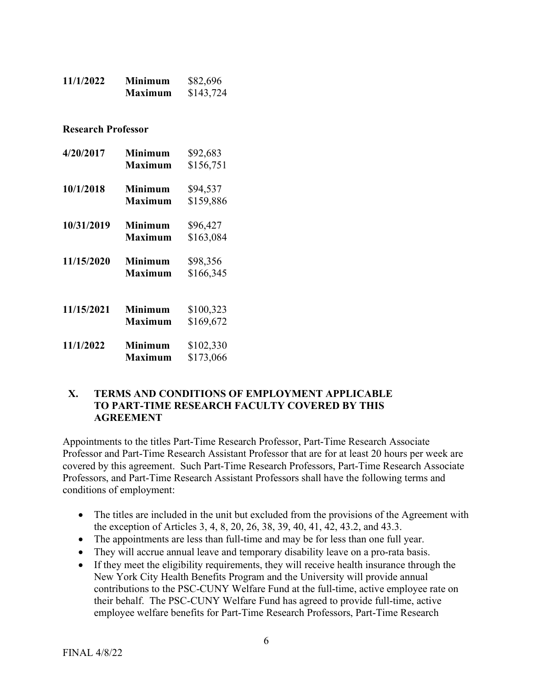| 11/1/2022 | <b>Minimum</b> | \$82,696  |
|-----------|----------------|-----------|
|           | <b>Maximum</b> | \$143,724 |

Research Professor

| 4/20/2017  | <b>Minimum</b><br>Maximum | \$92,683<br>\$156,751 |
|------------|---------------------------|-----------------------|
|            |                           |                       |
| 10/1/2018  | <b>Minimum</b><br>Maximum | \$94,537<br>\$159,886 |
| 10/31/2019 | <b>Minimum</b>            | \$96,427              |
|            | <b>Maximum</b>            | \$163,084             |
| 11/15/2020 | <b>Minimum</b>            | \$98,356              |
|            | <b>Maximum</b>            | \$166,345             |
|            |                           |                       |
| 11/15/2021 | <b>Minimum</b>            | \$100,323             |
|            | <b>Maximum</b>            | \$169,672             |
| 11/1/2022  | <b>Minimum</b>            | \$102,330             |
|            | <b>Maximum</b>            | \$173,066             |

### X. TERMS AND CONDITIONS OF EMPLOYMENT APPLICABLE TO PART-TIME RESEARCH FACULTY COVERED BY THIS AGREEMENT

Appointments to the titles Part-Time Research Professor, Part-Time Research Associate Professor and Part-Time Research Assistant Professor that are for at least 20 hours per week are covered by this agreement. Such Part-Time Research Professors, Part-Time Research Associate Professors, and Part-Time Research Assistant Professors shall have the following terms and conditions of employment:

- The titles are included in the unit but excluded from the provisions of the Agreement with the exception of Articles 3, 4, 8, 20, 26, 38, 39, 40, 41, 42, 43.2, and 43.3.
- The appointments are less than full-time and may be for less than one full year.
- They will accrue annual leave and temporary disability leave on a pro-rata basis.
- If they meet the eligibility requirements, they will receive health insurance through the New York City Health Benefits Program and the University will provide annual contributions to the PSC-CUNY Welfare Fund at the full-time, active employee rate on their behalf. The PSC-CUNY Welfare Fund has agreed to provide full-time, active employee welfare benefits for Part-Time Research Professors, Part-Time Research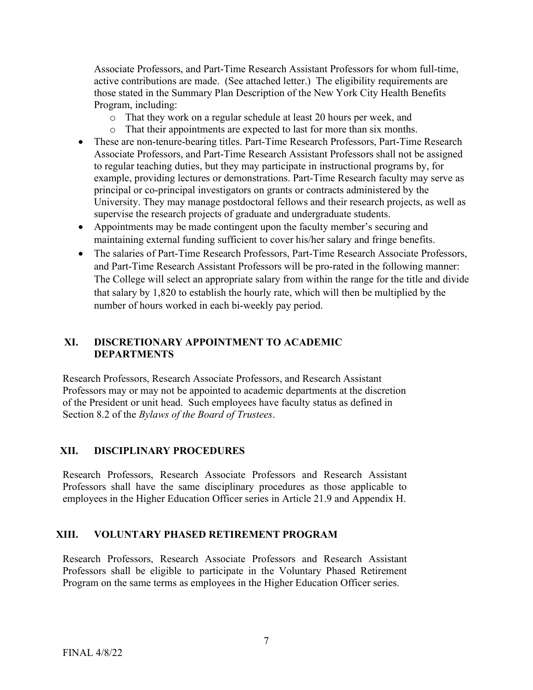Associate Professors, and Part-Time Research Assistant Professors for whom full-time, active contributions are made. (See attached letter.) The eligibility requirements are those stated in the Summary Plan Description of the New York City Health Benefits Program, including:

- o That they work on a regular schedule at least 20 hours per week, and
- o That their appointments are expected to last for more than six months.
- These are non-tenure-bearing titles. Part-Time Research Professors, Part-Time Research Associate Professors, and Part-Time Research Assistant Professors shall not be assigned to regular teaching duties, but they may participate in instructional programs by, for example, providing lectures or demonstrations. Part-Time Research faculty may serve as principal or co-principal investigators on grants or contracts administered by the University. They may manage postdoctoral fellows and their research projects, as well as supervise the research projects of graduate and undergraduate students.
- Appointments may be made contingent upon the faculty member's securing and maintaining external funding sufficient to cover his/her salary and fringe benefits.
- The salaries of Part-Time Research Professors, Part-Time Research Associate Professors, and Part-Time Research Assistant Professors will be pro-rated in the following manner: The College will select an appropriate salary from within the range for the title and divide that salary by 1,820 to establish the hourly rate, which will then be multiplied by the number of hours worked in each bi-weekly pay period.

# XI. DISCRETIONARY APPOINTMENT TO ACADEMIC DEPARTMENTS

Research Professors, Research Associate Professors, and Research Assistant Professors may or may not be appointed to academic departments at the discretion of the President or unit head. Such employees have faculty status as defined in Section 8.2 of the Bylaws of the Board of Trustees.

# XII. DISCIPLINARY PROCEDURES

Research Professors, Research Associate Professors and Research Assistant Professors shall have the same disciplinary procedures as those applicable to employees in the Higher Education Officer series in Article 21.9 and Appendix H.

# XIII. VOLUNTARY PHASED RETIREMENT PROGRAM

Research Professors, Research Associate Professors and Research Assistant Professors shall be eligible to participate in the Voluntary Phased Retirement Program on the same terms as employees in the Higher Education Officer series.